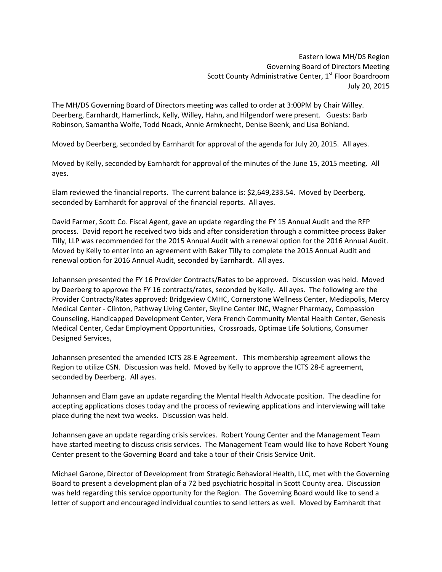Eastern Iowa MH/DS Region Governing Board of Directors Meeting Scott County Administrative Center, 1<sup>st</sup> Floor Boardroom July 20, 2015

The MH/DS Governing Board of Directors meeting was called to order at 3:00PM by Chair Willey. Deerberg, Earnhardt, Hamerlinck, Kelly, Willey, Hahn, and Hilgendorf were present. Guests: Barb Robinson, Samantha Wolfe, Todd Noack, Annie Armknecht, Denise Beenk, and Lisa Bohland.

Moved by Deerberg, seconded by Earnhardt for approval of the agenda for July 20, 2015. All ayes.

Moved by Kelly, seconded by Earnhardt for approval of the minutes of the June 15, 2015 meeting. All ayes.

Elam reviewed the financial reports. The current balance is: \$2,649,233.54. Moved by Deerberg, seconded by Earnhardt for approval of the financial reports. All ayes.

David Farmer, Scott Co. Fiscal Agent, gave an update regarding the FY 15 Annual Audit and the RFP process. David report he received two bids and after consideration through a committee process Baker Tilly, LLP was recommended for the 2015 Annual Audit with a renewal option for the 2016 Annual Audit. Moved by Kelly to enter into an agreement with Baker Tilly to complete the 2015 Annual Audit and renewal option for 2016 Annual Audit, seconded by Earnhardt. All ayes.

Johannsen presented the FY 16 Provider Contracts/Rates to be approved. Discussion was held. Moved by Deerberg to approve the FY 16 contracts/rates, seconded by Kelly. All ayes. The following are the Provider Contracts/Rates approved: Bridgeview CMHC, Cornerstone Wellness Center, Mediapolis, Mercy Medical Center - Clinton, Pathway Living Center, Skyline Center INC, Wagner Pharmacy, Compassion Counseling, Handicapped Development Center, Vera French Community Mental Health Center, Genesis Medical Center, Cedar Employment Opportunities, Crossroads, Optimae Life Solutions, Consumer Designed Services,

Johannsen presented the amended ICTS 28-E Agreement. This membership agreement allows the Region to utilize CSN. Discussion was held. Moved by Kelly to approve the ICTS 28-E agreement, seconded by Deerberg. All ayes.

Johannsen and Elam gave an update regarding the Mental Health Advocate position. The deadline for accepting applications closes today and the process of reviewing applications and interviewing will take place during the next two weeks. Discussion was held.

Johannsen gave an update regarding crisis services. Robert Young Center and the Management Team have started meeting to discuss crisis services. The Management Team would like to have Robert Young Center present to the Governing Board and take a tour of their Crisis Service Unit.

Michael Garone, Director of Development from Strategic Behavioral Health, LLC, met with the Governing Board to present a development plan of a 72 bed psychiatric hospital in Scott County area. Discussion was held regarding this service opportunity for the Region. The Governing Board would like to send a letter of support and encouraged individual counties to send letters as well. Moved by Earnhardt that